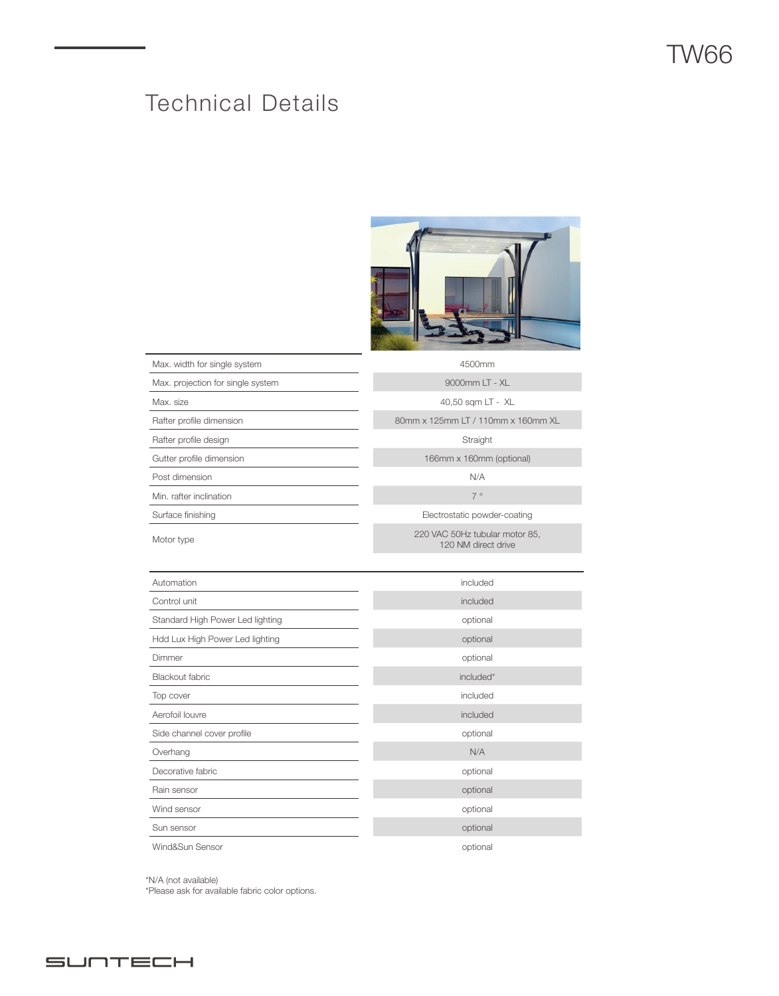# Technical Details



| Max. width for single system      | 4500mm                                                |
|-----------------------------------|-------------------------------------------------------|
| Max. projection for single system | 9000mm LT - XL                                        |
| Max. size                         | 40,50 sqm LT - XL                                     |
| Rafter profile dimension          | 80mm x 125mm LT / 110mm x 160mm XL                    |
| Rafter profile design             | Straight                                              |
| Gutter profile dimension          | 166mm x 160mm (optional)                              |
| Post dimension                    | N/A                                                   |
| Min. rafter inclination           | 7°                                                    |
| Surface finishing                 | Electrostatic powder-coating                          |
| Motor type                        | 220 VAC 50Hz tubular motor 85,<br>120 NM direct drive |
|                                   |                                                       |
| Automation                        | included                                              |
| Control unit                      | included                                              |
| Standard High Power Led lighting  | optional                                              |
| Hdd Lux High Power Led lighting   | optional                                              |
| Dimmer                            | optional                                              |
| Blackout fabric                   | included*                                             |
| Top cover                         | included                                              |
| Aerofoil louvre                   | included                                              |
| Side channel cover profile        | optional                                              |
| Overhang                          | N/A                                                   |
| Decorative fabric                 | optional                                              |
| Rain sensor                       | optional                                              |
| Wind sensor                       | optional                                              |
| Sun sensor                        | optional                                              |
| Wind&Sun Sensor                   | optional                                              |

\*N/A (not available) \*Please ask for available fabric color options.

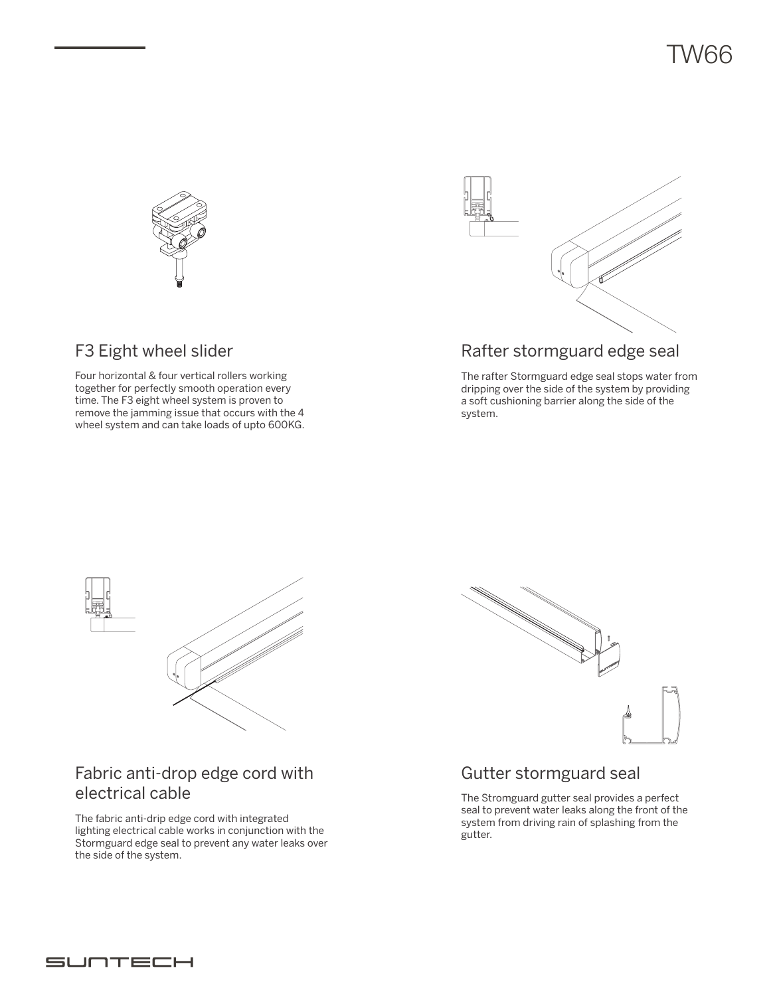



### Rafter stormguard edge seal

The rafter Stormguard edge seal stops water from dripping over the side of the system by providing a soft cushioning barrier along the side of the system.

### F3 Eight wheel slider

Four horizontal & four vertical rollers working together for perfectly smooth operation every time. The F3 eight wheel system is proven to remove the jamming issue that occurs with the 4 wheel system and can take loads of upto 600KG.



#### Fabric anti-drop edge cord with electrical cable

The fabric anti-drip edge cord with integrated lighting electrical cable works in conjunction with the Stormguard edge seal to prevent any water leaks over the side of the system.



#### Gutter stormguard seal

The Stromguard gutter seal provides a perfect seal to prevent water leaks along the front of the system from driving rain of splashing from the gutter.

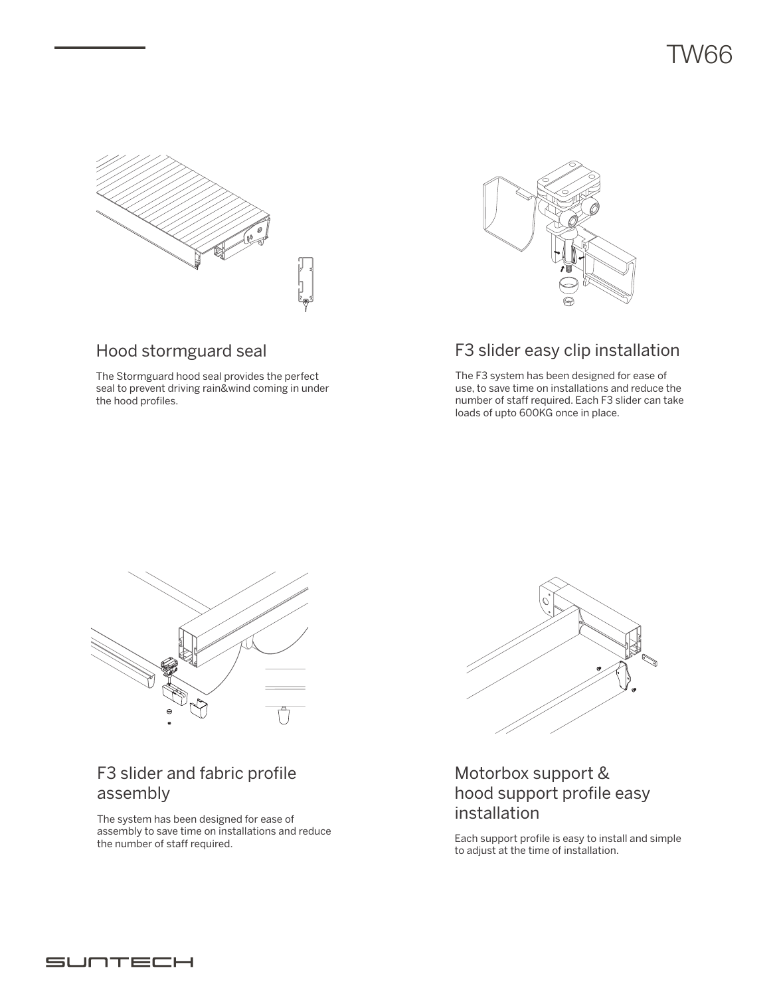

### Hood stormguard seal

The Stormguard hood seal provides the perfect seal to prevent driving rain&wind coming in under the hood profiles.



### F3 slider easy clip installation

The F3 system has been designed for ease of use, to save time on installations and reduce the number of staff required. Each F3 slider can take loads of upto 600KG once in place.



## F3 slider and fabric profile assembly

The system has been designed for ease of assembly to save time on installations and reduce the number of staff required.



### Motorbox support & hood support profile easy installation

Each support profile is easy to install and simple to adjust at the time of installation.

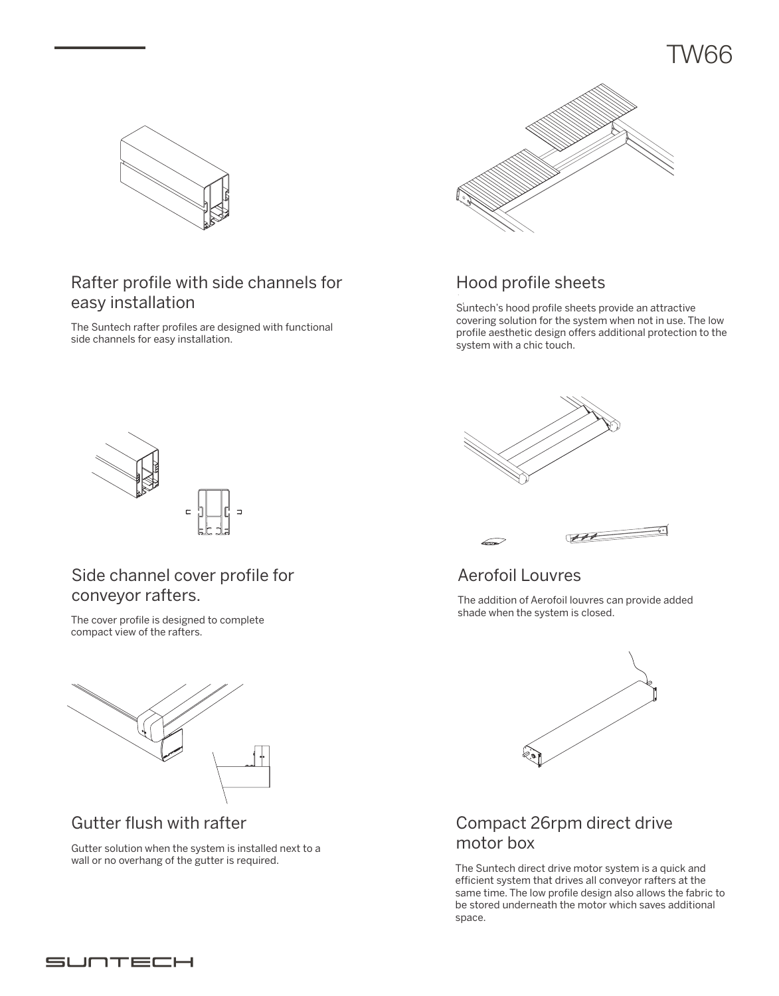

### Rafter profile with side channels for easy installation

The Suntech rafter profiles are designed with functional side channels for easy installation.



## Hood profile sheets

Suntech's hood profile sheets provide an attractive covering solution for the system when not in use. The low profile aesthetic design offers additional protection to the system with a chic touch.



### Side channel cover profile for conveyor rafters.

The cover profile is designed to complete compact view of the rafters.



### Gutter flush with rafter

Gutter solution when the system is installed next to a wall or no overhang of the gutter is required.





## Aerofoil Louvres

The addition of Aerofoil louvres can provide added shade when the system is closed.



## Compact 26rpm direct drive motor box

The Suntech direct drive motor system is a quick and efficient system that drives all conveyor rafters at the same time. The low profile design also allows the fabric to be stored underneath the motor which saves additional space.